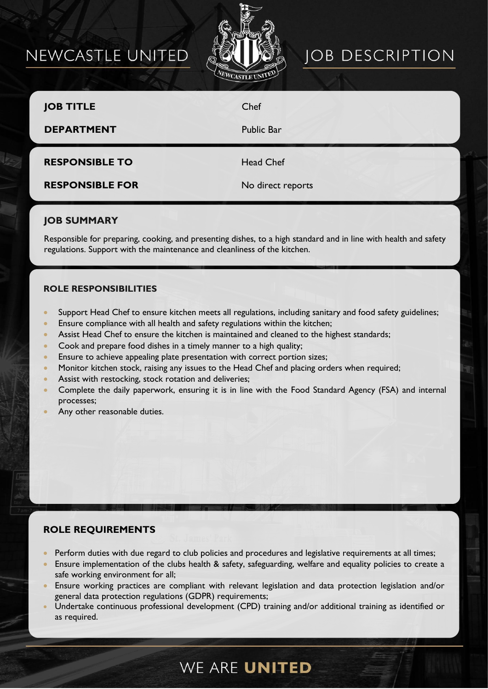# NEWCASTLE UNITED



# **JOB DESCRIPTION**

| <b>JOB TITLE</b><br><b>DEPARTMENT</b> | Chef<br><b>Public Bar</b> |
|---------------------------------------|---------------------------|
| <b>RESPONSIBLE TO</b>                 | <b>Head Chef</b>          |
| <b>RESPONSIBLE FOR</b>                | No direct reports         |

### **JOB SUMMARY**

Responsible for preparing, cooking, and presenting dishes, to a high standard and in line with health and safety regulations. Support with the maintenance and cleanliness of the kitchen.

#### **ROLE RESPONSIBILITIES**

- Support Head Chef to ensure kitchen meets all regulations, including sanitary and food safety guidelines;
- Ensure compliance with all health and safety regulations within the kitchen;
- Assist Head Chef to ensure the kitchen is maintained and cleaned to the highest standards;
- Cook and prepare food dishes in a timely manner to a high quality;
- Ensure to achieve appealing plate presentation with correct portion sizes;
- Monitor kitchen stock, raising any issues to the Head Chef and placing orders when required;
- Assist with restocking, stock rotation and deliveries;
- Complete the daily paperwork, ensuring it is in line with the Food Standard Agency (FSA) and internal processes;
- Any other reasonable duties.

## **ROLE REQUIREMENTS**

- Perform duties with due regard to club policies and procedures and legislative requirements at all times;
- Ensure implementation of the clubs health & safety, safeguarding, welfare and equality policies to create a safe working environment for all;
- Ensure working practices are compliant with relevant legislation and data protection legislation and/or general data protection regulations (GDPR) requirements;
- Undertake continuous professional development (CPD) training and/or additional training as identified or as required.

# WE ARE UNITED